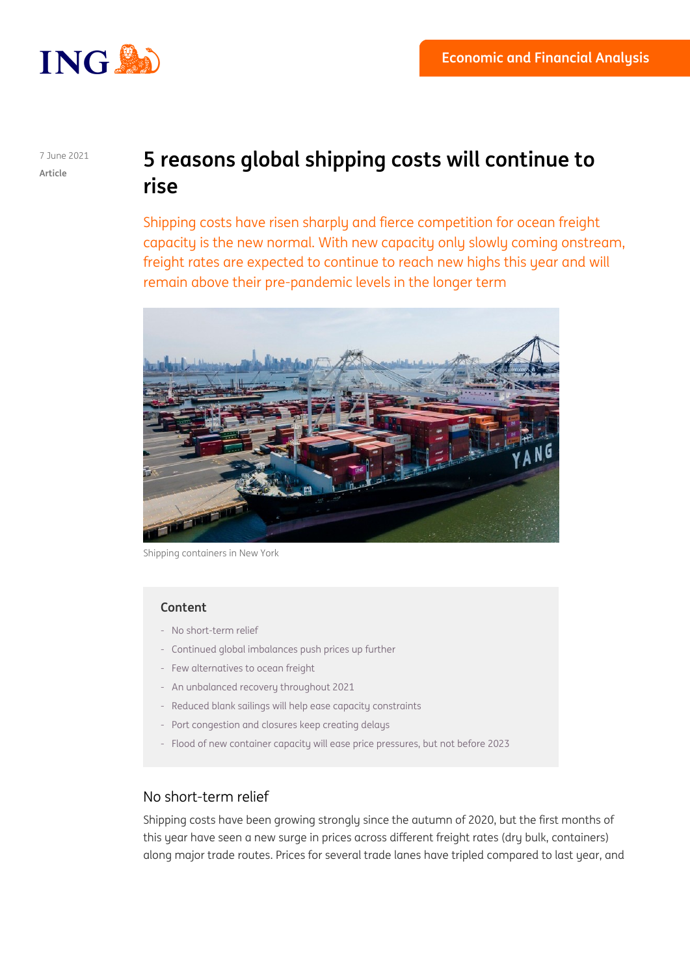

#### 7 June 2021 **Article**

# **5 reasons global shipping costs will continue to rise**

Shipping costs have risen sharply and fierce competition for ocean freight capacity is the new normal. With new capacity only slowly coming onstream, freight rates are expected to continue to reach new highs this year and will remain above their pre-pandemic levels in the longer term



Shipping containers in New York

#### **Content**

- No short-term relief
- Continued global imbalances push prices up further
- Few alternatives to ocean freight
- An unbalanced recovery throughout 2021
- Reduced blank sailings will help ease capacity constraints
- Port congestion and closures keep creating delays
- Flood of new container capacity will ease price pressures, but not before 2023

### No short-term relief

Shipping costs have been growing strongly since the autumn of 2020, but the first months of this year have seen a new surge in prices across different freight rates (dry bulk, containers) along major trade routes. Prices for several trade lanes have tripled compared to last year, and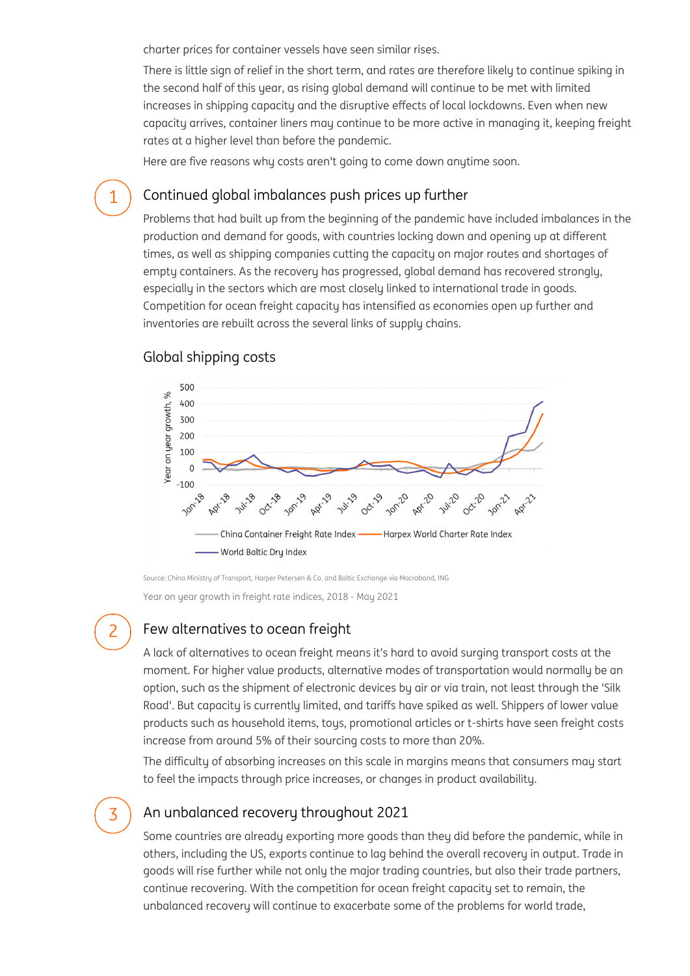charter prices for container vessels have seen similar rises.

There is little sign of relief in the short term, and rates are therefore likely to continue spiking in the second half of this year, as rising global demand will continue to be met with limited increases in shipping capacity and the disruptive effects of local lockdowns. Even when new capacity arrives, container liners may continue to be more active in managing it, keeping freight rates at a higher level than before the pandemic.

Here are five reasons why costs aren't going to come down anytime soon.

#### Continued global imbalances push prices up further

Problems that had built up from the beginning of the pandemic have included imbalances in the production and demand for goods, with countries locking down and opening up at different times, as well as shipping companies cutting the capacity on major routes and shortages of empty containers. As the recovery has progressed, global demand has recovered strongly, especially in the sectors which are most closely linked to international trade in goods. Competition for ocean freight capacity has intensified as economies open up further and inventories are rebuilt across the several links of supply chains.



#### Global shipping costs

1

2

3

Source: China Ministry of Transport, Harper Petersen & Co. and Baltic Exchange via Macrobond, ING

Year on year growth in freight rate indices, 2018 - May 2021

# Few alternatives to ocean freight

A lack of alternatives to ocean freight means it's hard to avoid surging transport costs at the moment. For higher value products, alternative modes of transportation would normally be an option, such as the shipment of electronic devices by air or via train, not least through the 'Silk Road'. But capacity is currently limited, and tariffs have spiked as well. Shippers of lower value products such as household items, toys, promotional articles or t-shirts have seen freight costs increase from around 5% of their sourcing costs to more than 20%.

The difficulty of absorbing increases on this scale in margins means that consumers may start to feel the impacts through price increases, or changes in product availability.

# An unbalanced recovery throughout 2021

Some countries are already exporting more goods than they did before the pandemic, while in others, including the US, exports continue to lag behind the overall recovery in output. Trade in goods will rise further while not only the major trading countries, but also their trade partners, continue recovering. With the competition for ocean freight capacity set to remain, the unbalanced recovery will continue to exacerbate some of the problems for world trade,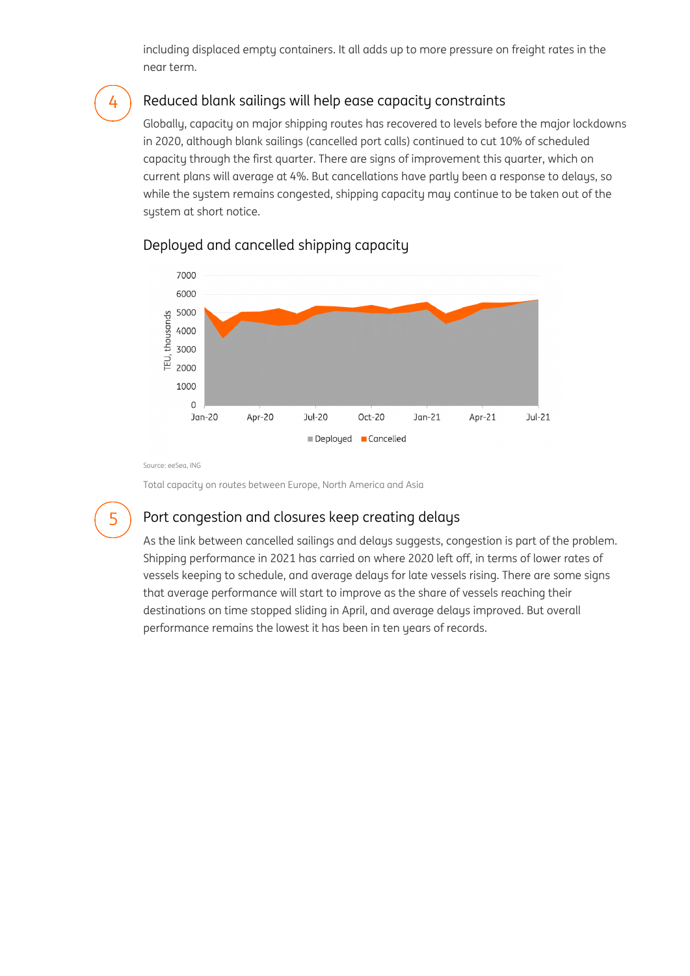including displaced empty containers. It all adds up to more pressure on freight rates in the near term.

#### Reduced blank sailings will help ease capacity constraints

Globally, capacity on major shipping routes has recovered to levels before the major lockdowns in 2020, although blank sailings (cancelled port calls) continued to cut 10% of scheduled capacity through the first quarter. There are signs of improvement this quarter, which on current plans will average at 4%. But cancellations have partly been a response to delays, so while the system remains congested, shipping capacity may continue to be taken out of the system at short notice.



#### Deployed and cancelled shipping capacity

Source: eeSea, ING

Total capacity on routes between Europe, North America and Asia

# 5

4

### Port congestion and closures keep creating delays

As the link between cancelled sailings and delays suggests, congestion is part of the problem. Shipping performance in 2021 has carried on where 2020 left off, in terms of lower rates of vessels keeping to schedule, and average delays for late vessels rising. There are some signs that average performance will start to improve as the share of vessels reaching their destinations on time stopped sliding in April, and average delays improved. But overall performance remains the lowest it has been in ten years of records.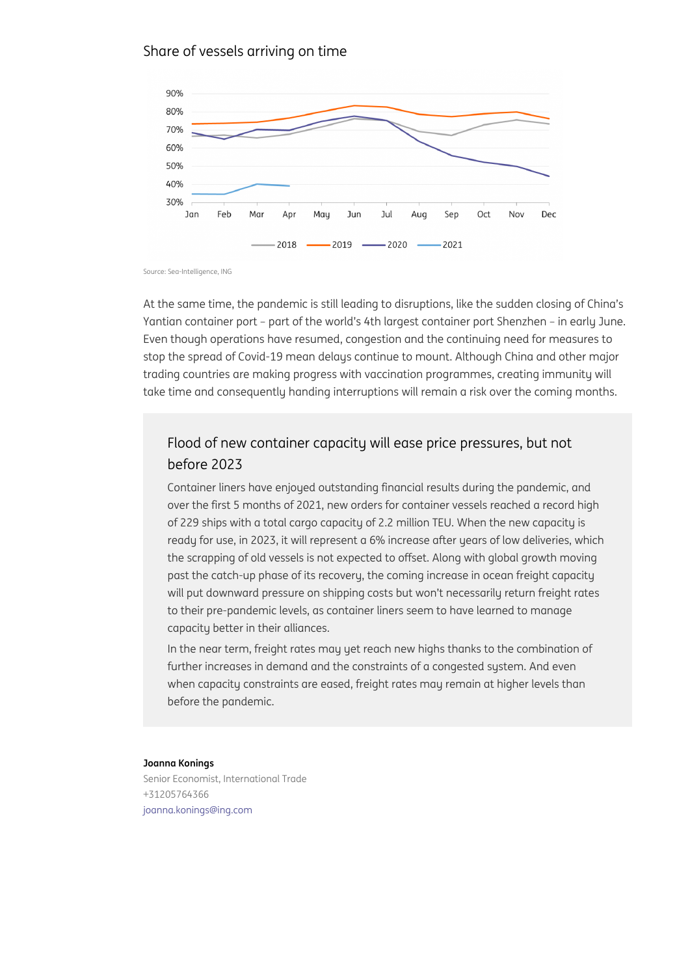#### Source: Sea-Intelligence, ING

At the same time, the pandemic is still leading to disruptions, like Yantian container port part of the world s 4th largest container  $p_0$ Even though operations have resumed, congestion and the continui stop the spread of Covid-19 mean delays continue to mount. Althou trading countries are making progress with vaccination programmes take time and consequently handing interruptions will remain a risk

## Flood of new container capacity will ease price pres before 2023

Container liners have enjoyed outstanding financial results during over the first 5 months of 2021, new orders for container vessels of 229 ships with a total cargo capacity of 2.2 million TEU. When ready for use, in 2023, it will represent a 6% increase after years the scrapping of old vessels is not expected to offset. Along with past the catch-up phase of its recovery, the coming increase in o will put downward pressure on shipping costs but won t necessari to their pre-pandemic levels, as container liners seem to have learned capacity better in their alliances.

In the near term, freight rates may yet reach new highs thanks to further increases in demand and the constraints of a congested s when capacity constraints are eased, freight rates may remain at before the pandemic.

#### Joanna Konings

Senior Economist, International Trade +31205764366 [joanna.konings@ing.com](mailto:joanna.konings@ing.com)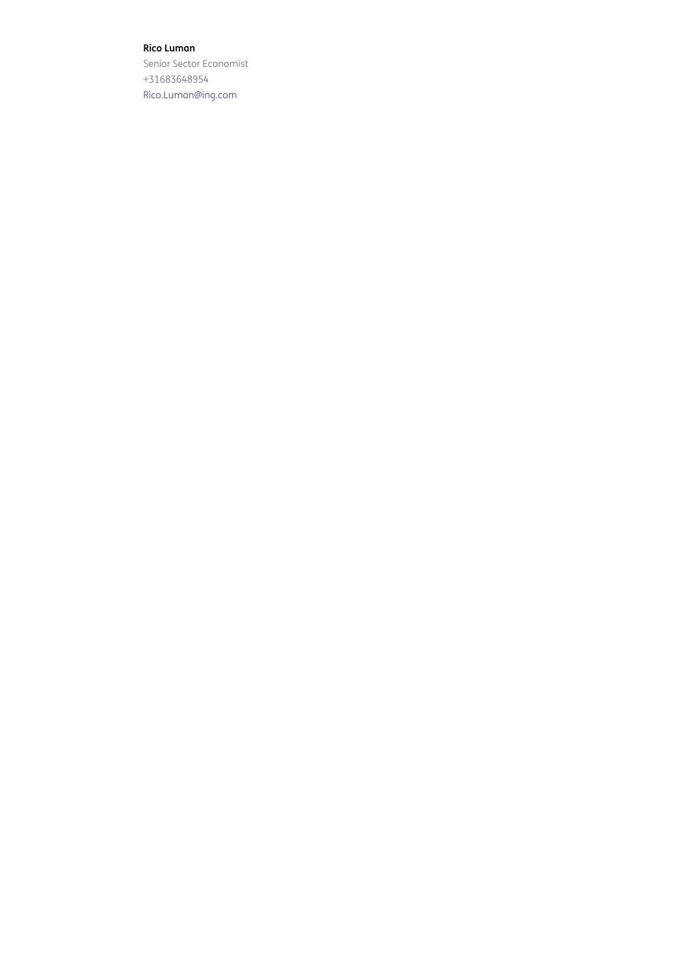#### Rico Luman

Senior Sector Economist +31683648954 [Rico.Luman@ing.com](mailto:Rico.Luman@ing.com)